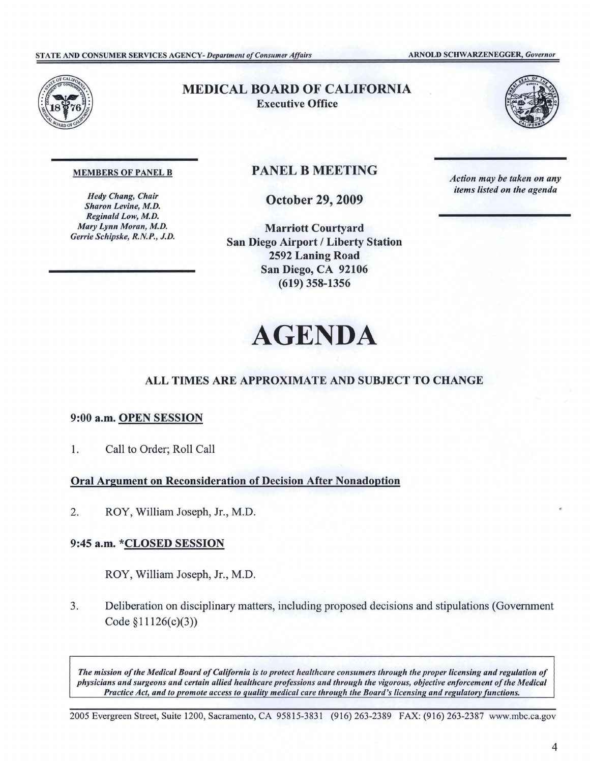

## MEDICAL BOARD OF CALIFORNIA Executive Office



#### MEMBERS OF PANEL B

*Hedy Chang, Chair Sharon Levine, M.D. Reginald Low, M.D. Mary Lynn Moran, M.D. Gerrie Schipske, R.N.P., J.D.* 

## PANEL B MEETING

October 29, 2009

Marriott Courtyard San Diego Airport/ Liberty Station 2592 Laning Road San Diego, CA 92106 (619) 358-1356

*Action may be taken on any items listed on the agenda* 

# **AGENDA**

## **ALL TIMES ARE APPROXIMATE AND SUBJECT TO CHANGE**

### 9:00 **a.m. OPEN SESSION**

1. Call to Order; Roll Call

**Oral Argument on Reconsideration of Decision After Nonadoption** 

2. ROY, William Joseph, Jr., M.D.

## 9:45 a.m. \*CLOSED SESSION

ROY, William Joseph, Jr., M.D.

3. Deliberation on disciplinary matters, including proposed decisions and stipulations (Government Code §11126(c)(3))

*The mission ofthe Medical Board ofCalifornia is to protect healthcare consumers through the proper licensing and regulation of physicians and surgeons and certain allied healthcare professions and through the vigorous, objective enforcement ofthe Medical Practice Act, and to promote access to quality medical care through the Board's licensing and regulatory functions.* 

2005 Evergreen Street, Suite 1200, Sacramento, CA 95815-3831 (916) 263-2389 FAX: (916) 263-2387 <www.mbc.ca.gov>